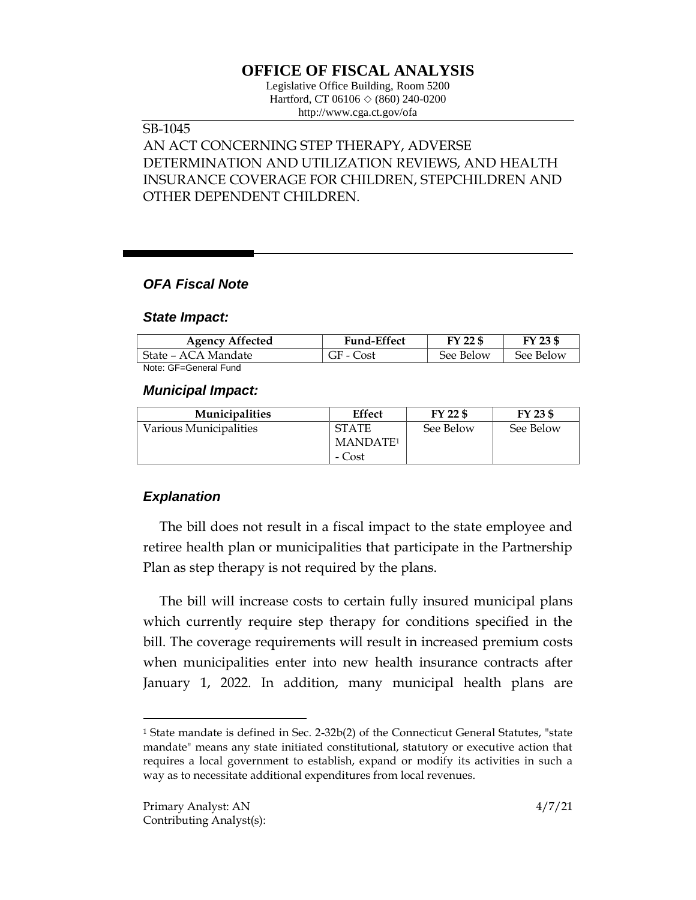# **OFFICE OF FISCAL ANALYSIS**

Legislative Office Building, Room 5200 Hartford, CT 06106 ◇ (860) 240-0200 http://www.cga.ct.gov/ofa

## SB-1045

## AN ACT CONCERNING STEP THERAPY, ADVERSE DETERMINATION AND UTILIZATION REVIEWS, AND HEALTH INSURANCE COVERAGE FOR CHILDREN, STEPCHILDREN AND OTHER DEPENDENT CHILDREN.

### *OFA Fiscal Note*

#### *State Impact:*

| <b>Agency Affected</b> | <b>Fund-Effect</b> | FY 22 \$  | FY 23 \$  |
|------------------------|--------------------|-----------|-----------|
| State – ACA Mandate    | GF - Cost          | See Below | See Below |
| Note: GF=General Fund  |                    |           |           |

#### *Municipal Impact:*

| <b>Municipalities</b>  | Effect               | FY 22 \$  | FY 23 \$  |
|------------------------|----------------------|-----------|-----------|
| Various Municipalities | <b>STATE</b>         | See Below | See Below |
|                        | MANDATE <sup>1</sup> |           |           |
|                        | - Cost               |           |           |

## *Explanation*

The bill does not result in a fiscal impact to the state employee and retiree health plan or municipalities that participate in the Partnership Plan as step therapy is not required by the plans.

The bill will increase costs to certain fully insured municipal plans which currently require step therapy for conditions specified in the bill. The coverage requirements will result in increased premium costs when municipalities enter into new health insurance contracts after January 1, 2022. In addition, many municipal health plans are

 $\overline{a}$ 

<sup>1</sup> State mandate is defined in Sec. 2-32b(2) of the Connecticut General Statutes, "state mandate" means any state initiated constitutional, statutory or executive action that requires a local government to establish, expand or modify its activities in such a way as to necessitate additional expenditures from local revenues.